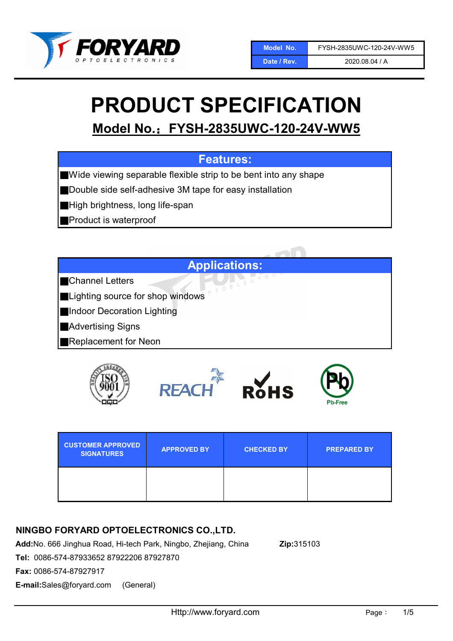

2020.08.04 / A

# PRODUCT SPECIFICATION

Model No.:FYSH-2835UWC-120-24V-WW5

# Features:

■Wide viewing separable flexible strip to be bent into any shape

■Double side self-adhesive 3M tape for easy installation

■High brightness, long life-span

■Product is waterproof



■Channel Letters

■Lighting source for shop windows

■Indoor Decoration Lighting

■Advertising Signs

■Replacement for Neon



| <b>CUSTOMER APPROVED</b><br><b>SIGNATURES</b> | <b>APPROVED BY</b> | <b>CHECKED BY</b> | <b>PREPARED BY</b> |
|-----------------------------------------------|--------------------|-------------------|--------------------|
|                                               |                    |                   |                    |

## NINGBO FORYARD OPTOELECTRONICS CO.,LTD.

Add:No. 666 Jinghua Road, Hi-tech Park, Ningbo, Zhejiang, China Zip:315103

Tel: 0086-574-87933652 87922206 87927870

Fax: 0086-574-87927917

E-mail:Sales@foryard.com (General)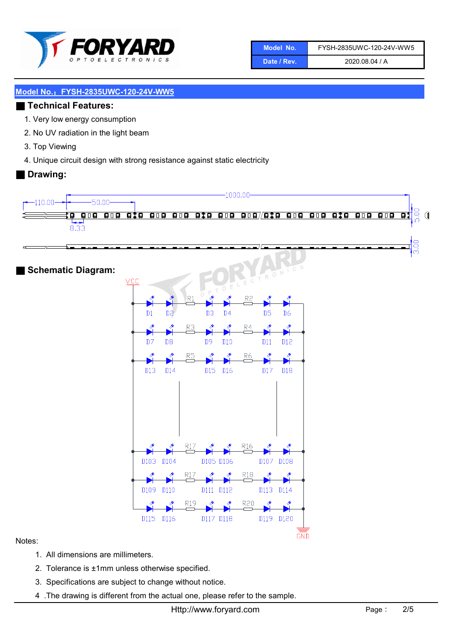

| Model No.   | FYSH-2835UWC-120-24V-WW5 |
|-------------|--------------------------|
| Date / Rev. | 2020.08.04 / A           |

## ■ Technical Features:

- 1. Very low energy consumption
- 2. No UV radiation in the light beam
- 3. Top Viewing
- 4. Unique circuit design with strong resistance against static electricity

#### ■ Drawing:



#### Notes:

- 1. All dimensions are millimeters.
- 2. Tolerance is ±1mm unless otherwise specified.
- 3. Specifications are subject to change without notice.
- 4 .The drawing is different from the actual one, please refer to the sample.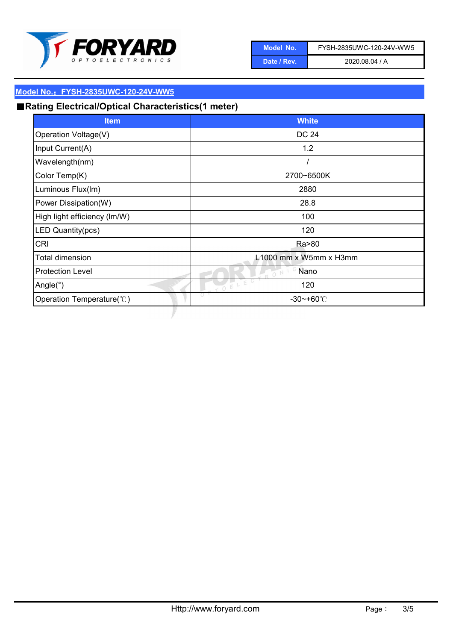

| Model No.   | FYSH-2835UWC-120-24V-WW5 |
|-------------|--------------------------|
| Date / Rev. | 2020.08.04 / A           |

# ■Rating Electrical/Optical Characteristics(1 meter)

| <b>Item</b>                  | <b>White</b>           |
|------------------------------|------------------------|
| Operation Voltage(V)         | <b>DC 24</b>           |
| Input Current(A)             | 1.2                    |
| Wavelength(nm)               |                        |
| Color Temp(K)                | 2700~6500K             |
| Luminous Flux(Im)            | 2880                   |
| Power Dissipation(W)         | 28.8                   |
| High light efficiency (Im/W) | 100                    |
| LED Quantity(pcs)            | 120                    |
| <b>CRI</b>                   | Ra>80                  |
| Total dimension              | L1000 mm x W5mm x H3mm |
| <b>Protection Level</b>      | Nano<br>O N            |
| Angle( $\degree$ )           | IOELEC<br>120          |
| Operation Temperature(°C)    | O<br>$-30$ ~+60 $°C$   |
|                              |                        |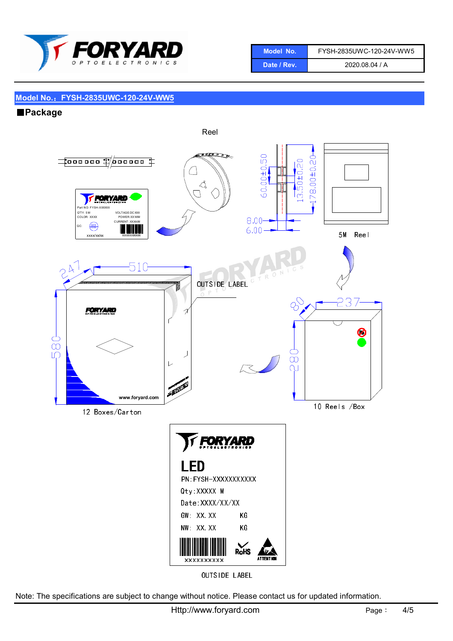

| Model No.'  | FYSH-2835UWC-120-24V-WW5 |
|-------------|--------------------------|
| Date / Rev. | 2020.08.04 / A           |

## ■Package



OUTSIDE LABEL

Note: The specifications are subject to change without notice. Please contact us for updated information.